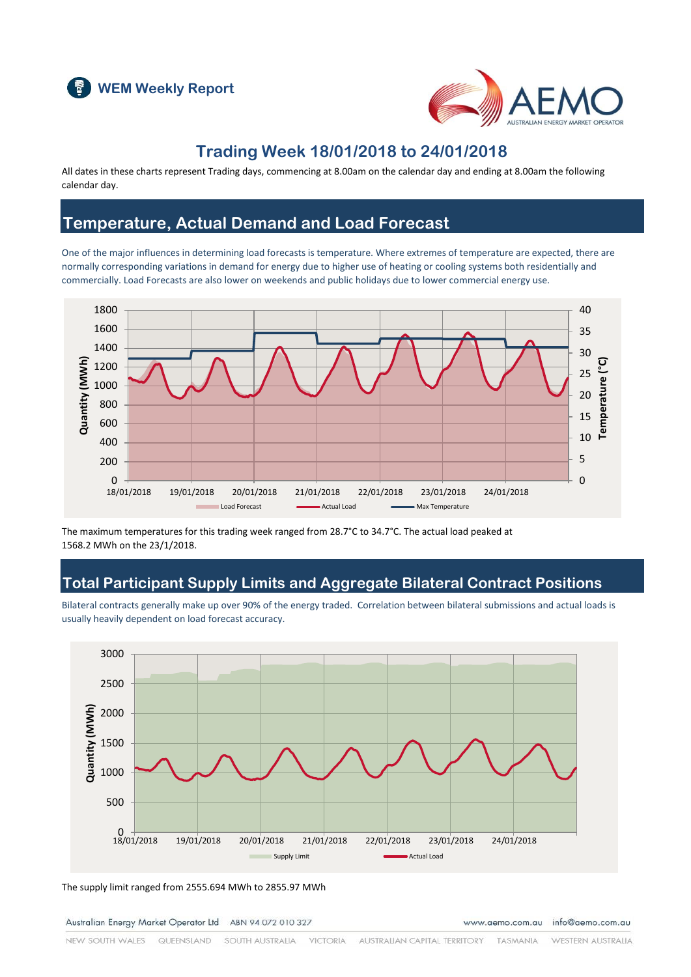



#### **Trading Week 18/01/2018 to 24/01/2018**

All dates in these charts represent Trading days, commencing at 8.00am on the calendar day and ending at 8.00am the following calendar day.

### **Temperature, Actual Demand and Load Forecast**

One of the major influences in determining load forecasts is temperature. Where extremes of temperature are expected, there are normally corresponding variations in demand for energy due to higher use of heating or cooling systems both residentially and commercially. Load Forecasts are also lower on weekends and public holidays due to lower commercial energy use.



The maximum temperatures for this trading week ranged from 28.7°C to 34.7°C. The actual load peaked at 1568.2 MWh on the 23/1/2018.

### **Total Participant Supply Limits and Aggregate Bilateral Contract Positions**

Bilateral contracts generally make up over 90% of the energy traded. Correlation between bilateral submissions and actual loads is usually heavily dependent on load forecast accuracy.



The supply limit ranged from 2555.694 MWh to 2855.97 MWh

Australian Energy Market Operator Ltd ABN 94 072 010 327

www.aemo.com.au info@aemo.com.au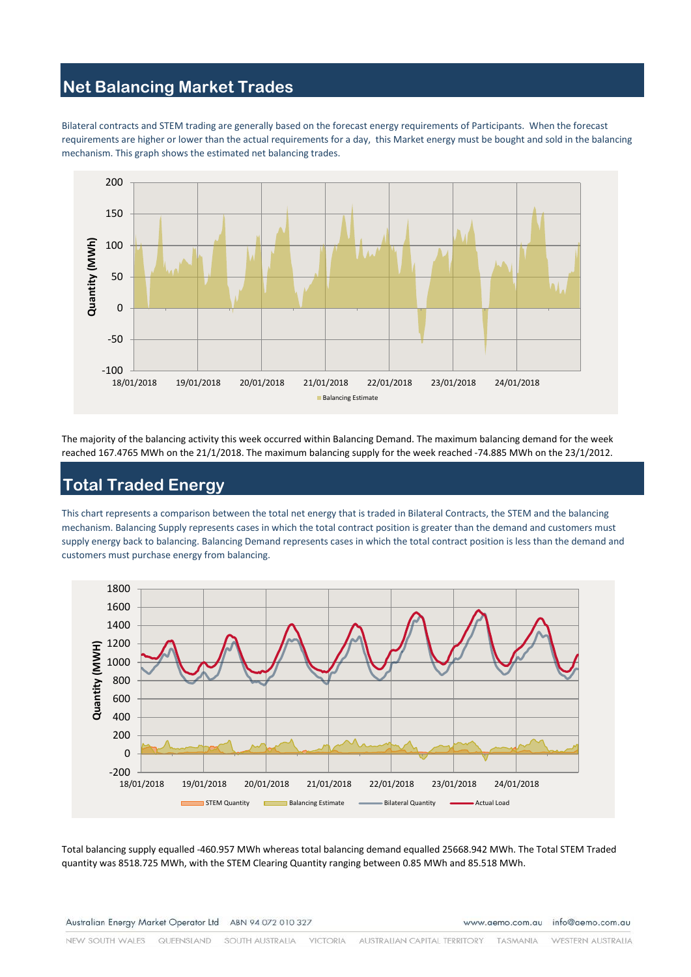# **Net Balancing Market Trades**

Bilateral contracts and STEM trading are generally based on the forecast energy requirements of Participants. When the forecast requirements are higher or lower than the actual requirements for a day, this Market energy must be bought and sold in the balancing mechanism. This graph shows the estimated net balancing trades.



The majority of the balancing activity this week occurred within Balancing Demand. The maximum balancing demand for the week reached 167.4765 MWh on the 21/1/2018. The maximum balancing supply for the week reached -74.885 MWh on the 23/1/2012.

### **Total Traded Energy**

This chart represents a comparison between the total net energy that is traded in Bilateral Contracts, the STEM and the balancing mechanism. Balancing Supply represents cases in which the total contract position is greater than the demand and customers must supply energy back to balancing. Balancing Demand represents cases in which the total contract position is less than the demand and customers must purchase energy from balancing.



Total balancing supply equalled -460.957 MWh whereas total balancing demand equalled 25668.942 MWh. The Total STEM Traded quantity was 8518.725 MWh, with the STEM Clearing Quantity ranging between 0.85 MWh and 85.518 MWh.